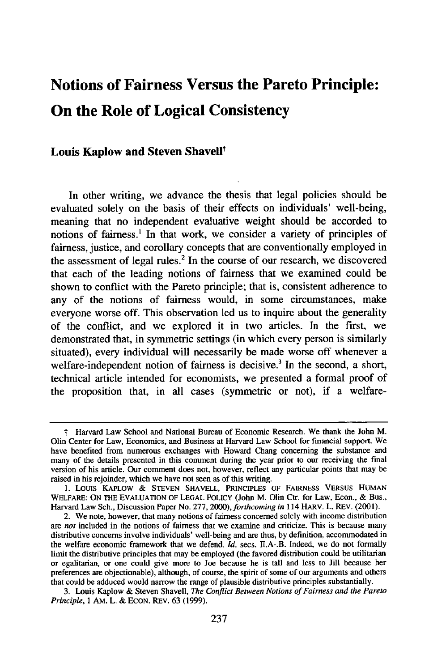# **Notions of Fairness Versus the Pareto Principle: On the Role of Logical Consistency**

## **Louis Kaplow and Steven Shavell<sup>t</sup>**

In other writing, we advance the thesis that legal policies should be evaluated solely on the basis of their effects on individuals' well-being, meaning that no independent evaluative weight should be accorded to notions of fairness.' In that work, we consider a variety of principles of fairness, justice, and corollary concepts that are conventionally employed in the assessment of legal rules.<sup>2</sup> In the course of our research, we discovered that each of the leading notions of fairness that we examined could be shown to conflict with the Pareto principle; that is, consistent adherence to any of the notions of fairness would, in some circumstances, make everyone worse off. This observation **led** us to inquire about the generality of the conflict, and we explored it in two articles. In the first, we demonstrated that, in symmetric settings (in which every person is similarly situated), every individual will necessarily be made worse off whenever a welfare-independent notion of fairness is decisive.<sup>3</sup> In the second, a short, technical article intended for economists, we presented a formal proof of the proposition that, in all cases (symmetric or not), if a welfare-

<sup>&</sup>quot; Harvard Law School and National Bureau of Economic Research. We thank the John M. Olin Center for Law, Economics, and Business at Harvard Law School for financial support. We have benefited from numerous exchanges with Howard Chang concerning the substance and many of the details presented in this comment during the year prior to our receiving the final version of his article. Our comment does not, however, reflect any particular points that may be raised in his rejoinder, which we have not seen as of this writing.

**<sup>1.</sup>** Louis KAPLOW **&** STEVEN SHAVELL, PRINCIPLES OF FAIRNESS VERSUS HUMAN WELFARE: ON **THE** EVALUATION OF LEGAL POLICY (John M. Olin Ctr. for Law, Econ., & Bus., Harvard Law Sch., Discussion Paper No. 277, 2000), *forthcoming in* 114 HARV. L. REV. (2001).

<sup>2.</sup> We note, however, that many notions of fairness concerned solely with income distribution are *not* included in the notions of fairness that we examine and criticize. This is because many distributive concerns involve individuals' well-being and are thus, by definition, accommodated in the welfare economic framework that we defend. *Id.* secs. II.A-.B. Indeed, we do not formally limit the distributive principles that may be employed (the favored distribution could be utilitarian or egalitarian, or one could give more to Joe because he is tall and less to Jill because her preferences are objectionable), although, of course, the spirit of some of our arguments and others that could be adduced would narrow the range of plausible distributive principles substantially.

<sup>3.</sup> Louis Kaplow & Steven Shavell, *The Conflict Between Notions of Fairness and the Pareto Principle,* 1 **AM.** L. & ECON. REV. 63 (1999).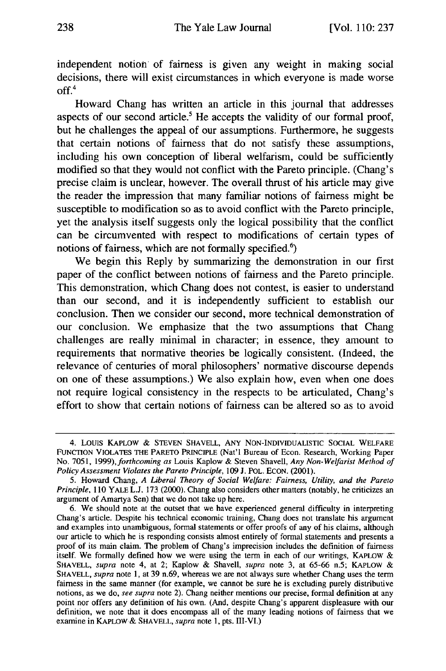independent notion of fairness is given any weight in making social decisions, there will exist circumstances in which everyone is made worse  $off.<sup>4</sup>$ 

Howard Chang has written an article in this journal that addresses aspects of our second article.<sup>5</sup> He accepts the validity of our formal proof, but he challenges the appeal of our assumptions. Furthermore, he suggests that certain notions of fairness that do not satisfy these assumptions, including his own conception of liberal welfarism, could be sufficiently modified so that they would not conflict with the Pareto principle. (Chang's precise claim is unclear, however. The overall thrust of his article may give the reader the impression that many familiar notions of fairness might be susceptible to modification so as to avoid conflict with the Pareto principle, yet the analysis itself suggests only the logical possibility that the conflict can be circumvented with respect to modifications of certain types of notions of fairness, which are not formally specified. $6$ )

We begin this Reply by summarizing the demonstration in our first paper of the conflict between notions of fairness and the Pareto principle. This demonstration, which Chang does not contest, is easier to understand than our second, and it is independently sufficient to establish our conclusion. Then we consider our second, more technical demonstration of our conclusion. We emphasize that the two assumptions that Chang challenges are really minimal in character; in essence, they amount to requirements that normative theories be logically consistent. (Indeed, the relevance of centuries of moral philosophers' normative discourse depends on one of these assumptions.) We also explain how, even when one does not require logical consistency in the respects to be articulated, Chang's effort to show that certain notions of fairness can be altered so as to avoid

<sup>4.</sup> Louis KAPLOW & STEVEN SHAVELL, ANY NON-INDIVIDUALISTIC SOCIAL WELFARE **FUNCTION VIOLATES** THE PARETO PRINCIPLE (Nat'l Bureau of Econ. Research, Working Paper No. 7051, *1999),forthcoming as* Louis Kaplow & Steven Shavell, *Any Non-Welfarist Method of Policy Assessment Violates the Pareto Principle,* 109 J. POL. ECON. (2001).

<sup>5.</sup> Howard Chang, *A Liberal Theory of Social Welfare: Fairness, Utility, and the Pareto Principle,* 110 YALE L.J. 173 (2000). Chang also considers other matters (notably, he criticizes an argument of Amartya Sen) that we do not take up here.

<sup>6.</sup> We should note at the outset that we have experienced general difficulty in interpreting Chang's article. Despite his technical economic training, Chang does not translate his argument and examples into unambiguous, formal statements or offer proofs of any of his claims, although our article to which he is responding consists almost entirely of formal statements and presents a proof of its main claim. The problem of Chang's imprecision includes the definition of fairness itself. We formally defined how we were using the term in each of our writings, KAPLOW & **SHAVELL,** *supra* note 4, at 2; Kaplow & Shavell, *supra* note 3, at 65-66 n.5; KAPLOW & SHAVELL, *supra* note 1, at 39 n.69, whereas we are not always sure whether Chang uses the term fairness in the same manner (for example, we cannot be sure he is excluding purely distributive notions, as we do, *see supra* note 2). Chang neither mentions our precise, formal definition at any point nor offers any definition of his own. (And, despite Chang's apparent displeasure with our definition, we note that it does encompass all of the many leading notions of fairness that we examine in KAPLOW & **SHAVELL,** *supra* note **1,** pts. fIi-VI.)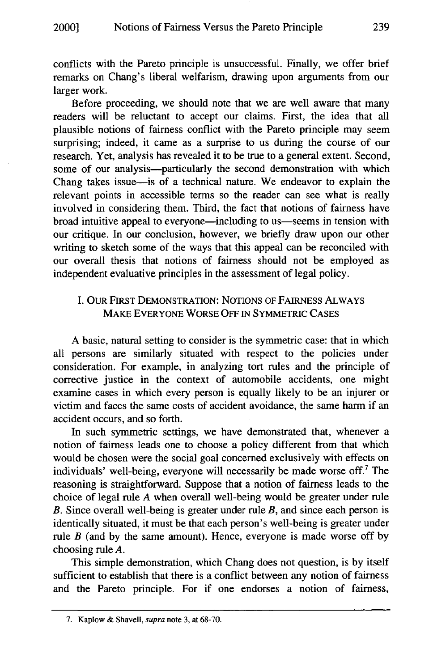conflicts with the Pareto principle is unsuccessful. Finally, we offer brief remarks on Chang's liberal welfarism, drawing upon arguments from our larger work.

Before proceeding, we should note that we are well aware that many readers will be reluctant to accept our claims. First, the idea that all plausible notions of fairness conflict with the Pareto principle may seem surprising; indeed, it came as a surprise to us during the course of our research. Yet, analysis has revealed it to be true to a general extent. Second, some of our analysis--particularly the second demonstration with which Chang takes issue-is of a technical nature. We endeavor to explain the relevant points in accessible terms so the reader can see what is really involved in considering them. Third, the fact that notions of fairness have broad intuitive appeal to everyone—including to us—seems in tension with our critique. In our conclusion, however, we briefly draw upon our other writing to sketch some of the ways that this appeal can be reconciled with our overall thesis that notions of fairness should not be employed as independent evaluative principles in the assessment of legal policy.

## I. OUR FIRST DEMONSTRATION: NOTIONS OF FAIRNESS ALWAYS MAKE EVERYONE WORSE **OFF** IN SYMMETRIC CASES

A basic, natural setting to consider is the symmetric case: that in which all persons are similarly situated with respect to the policies under consideration. For example, in analyzing tort rules and the principle of corrective justice in the context of automobile accidents, one might examine cases in which every person is equally likely to be an injurer or victim and faces the same costs of accident avoidance, the same harm if an accident occurs, and so forth.

In such symmetric settings, we have demonstrated that, whenever a notion of fairness leads one to choose a policy different from that which would be chosen were the social goal concerned exclusively with effects on individuals' well-being, everyone will necessarily be made worse off.7 The reasoning is straightforward. Suppose that a notion of fairness leads to the choice of legal rule *A* when overall well-being would be greater under rule *B.* Since overall well-being is greater under rule *B,* and since each person is identically situated, it must be that each person's well-being is greater under rule  $B$  (and by the same amount). Hence, everyone is made worse off by choosing rule *A.*

This simple demonstration, which Chang does not question, is by itself sufficient to establish that there is a conflict between any notion of fairness and the Pareto principle. For if one endorses a notion of fairness,

<sup>7.</sup> Kaplow & Shavell, supra note 3, at 68-70.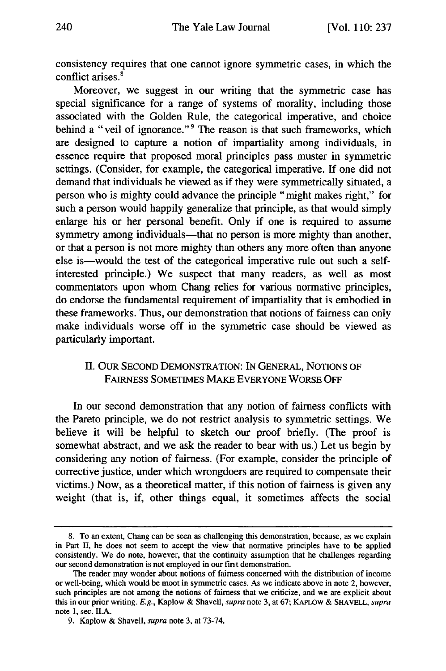consistency requires that one cannot ignore symmetric cases, in which the conflict arises.'

Moreover, we suggest in our writing that the symmetric case has special significance for a range of systems of morality, including those associated with the Golden Rule, the categorical imperative, and choice behind a "veil of ignorance."<sup>9</sup> The reason is that such frameworks, which are designed to capture a notion of impartiality among individuals, in essence require that proposed moral principles pass muster in symmetric settings. (Consider, for example, the categorical imperative. If one did not demand that individuals be viewed as if they were symmetrically situated, a person who is mighty could advance the principle "might makes right," for such a person would happily generalize that principle, as that would simply enlarge his or her personal benefit. Only if one is required to assume symmetry among individuals—that no person is more mighty than another, or that a person is not more mighty than others any more often than anyone else is—would the test of the categorical imperative rule out such a selfinterested principle.) We suspect that many readers, as well as most commentators upon whom Chang relies for various normative principles, do endorse the fundamental requirement of impartiality that is embodied in these frameworks. Thus, our demonstration that notions of fairness can only make individuals worse off in the symmetric case should be viewed as particularly important.

## II. OUR SECOND DEMONSTRATION: **IN GENERAL, NOTIONS** OF FAIRNESS **SOMETIMES** MAKE EVERYONE WORSE OFF

In our second demonstration that any notion of fairness conflicts with the Pareto principle, we do not restrict analysis to symmetric settings. We believe it will be helpful to sketch our proof briefly. (The proof is somewhat abstract, and we ask the reader to bear with us.) Let us begin by considering any notion of fairness. (For example, consider the principle of corrective justice, under which wrongdoers are required to compensate their victims.) Now, as a theoretical matter, if this notion of fairness is given any weight (that is, if, other things equal, it sometimes affects the social

<sup>8.</sup> To an extent, Chang can be seen as challenging this demonstration, because, as we explain in Part II, he does not seem to accept the view that normative principles have to be applied consistently. We do note, however, that the continuity assumption that he challenges regarding our second demonstration is not employed in our first demonstration.

The reader may wonder about notions of fairness concerned with the distribution of income or well-being, which would be moot in symmetric cases. As we indicate above in note 2, however, such principles are not among the notions of fairness that we criticize, and we are explicit about this in our prior writing. E.g., Kaplow & Shavell, supra note 3, at 67; KAPLOW **& SHAVELL,** supra note 1, sec. II.A.

<sup>9.</sup> Kaplow & Shavell, supra note 3, at 73-74.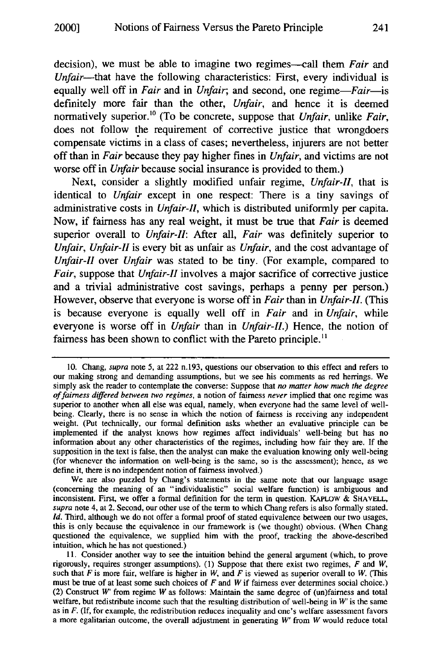decision), we must be able to imagine two regimes—call them *Fair* and *Unfair-that* have the following characteristics: First, every individual is equally well off in *Fair* and in *Unfair*; and second, one regime-*Fair*-is definitely more fair than the other, *Unfair,* and hence it is deemed normatively superior."° (To be concrete, suppose that *Unfair,* unlike *Fair,* does not follow the requirement of corrective justice that wrongdoers compensate victims in a class of cases; nevertheless, injurers are not better off than in *Fair* because they pay higher fines in *Unfair,* and victims are not worse off in *Unfair* because social insurance is provided to them.)

Next, consider a slightly modified unfair regime, *Unfair-I,* that is identical to *Unfair* except in one respect: There is a tiny savings of administrative costs in *Unfair-lI,* which is distributed uniformly per capita. Now, if fairness has any real weight, it must be true that *Fair* is deemed superior overall to *Unfair-I:* After all, *Fair* was definitely superior to *Unfair, Unfair-lI* is every bit as unfair as *Unfair,* and the cost advantage of *Unfair-lI* over *Unfair* was stated to be tiny. (For example, compared to *Fair,* suppose that *Unfair-II* involves a major sacrifice of corrective justice and a trivial administrative cost savings, perhaps a penny per person.) However, observe that everyone is worse off in *Fair* than in *Unfair-Il.* (This is because everyone is equally well off in *Fair* and in *Unfair,* while everyone is worse off in *Unfair* than in *Unfair-Il.)* Hence, the notion of fairness has been shown to conflict with the Pareto principle.<sup>11</sup>

<sup>10.</sup> Chang, *supra* note 5, at 222 n.193, questions our observation to this effect and refers to our making strong and demanding assumptions, but we see his comments as red herrings. We simply ask the reader to contemplate the converse: Suppose that *no matter how much the degree of fairness differed between two regimes,* a notion of fairness *never* implied that one regime was superior to another when all else was equal, namely, when everyone had the same level of wellbeing. Clearly, there is no sense in which the notion of fairness is receiving any independent weight. (Put technically, our formal definition asks whether an evaluative principle can be implemented if the analyst knows how regimes affect individuals' well-being but has no information about any other characteristics of the regimes, including how fair they are. If the supposition in the text is false, then the analyst can make the evaluation knowing only well-being (for whenever the information on well-being is the same, so is the assessment); hence, as we define it, there is no independent notion of fairness involved.)

We are also puzzled by Chang's statements in the same note that our language usage (concerning the meaning of an "individualistic" social welfare function) is ambiguous and inconsistent. First, we offer a formal definition for the term in question. KAPLOW & SHAVELL, *supra* note 4, at 2. Second, our other use of the term to which Chang refers is also formally stated. *Id.* Third, although we do not offer a formal proof of stated equivalence between our two usages, this is only because the equivalence in our framework is (we thought) obvious. (When Chang questioned the equivalence, we supplied him with the proof, tracking the above-described intuition, which he has not questioned.)

<sup>11.</sup> Consider another way to see the intuition behind the general argument (which, to prove rigorously, requires stronger assumptions). (1) Suppose that there exist two regimes, *F* and *W,* such that *F* is more fair, welfare is higher in *W,* and *F* is viewed as superior overall to *W.* (This must be true of at least some such choices of *F* and *W* if fairness ever determines social choice.) (2) Construct *W'* from regime *W* as follows: Maintain the same degree of (un)fairness and total welfare, but redistribute income such that the resulting distribution of well-being in *W'* is the same as in *F.* (If, for example, the redistribution reduces inequality and one's welfare assessment favors a more egalitarian outcome, the overall adjustment in generating *W'* from *W* would reduce total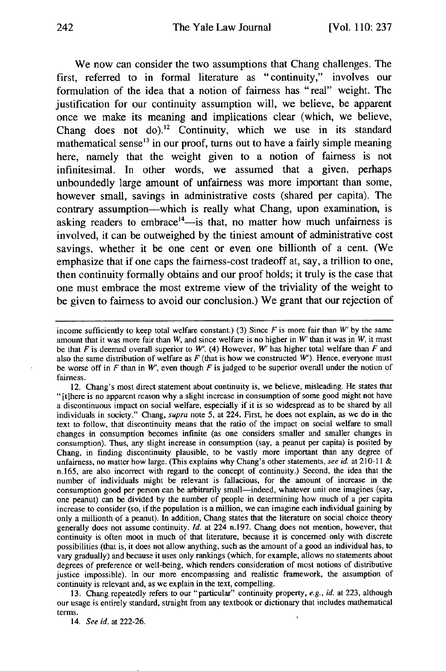We now can consider the two assumptions that Chang challenges. The first, referred to in formal literature as "continuity," involves our formulation of the idea that a notion of fairness has "real" weight. The justification for our continuity assumption will, we believe, be apparent once we make its meaning and implications clear (which, we believe, Chang does not do).<sup>12</sup> Continuity, which we use in its standard mathematical sense<sup>13</sup> in our proof, turns out to have a fairly simple meaning here, namely that the weight given to a notion of fairness is not infinitesimal. In other words, we assumed that a given, perhaps unboundedly large amount of unfairness was more important than some, however small, savings in administrative costs (shared per capita). The contrary assumption—which is really what Chang, upon examination, is asking readers to embrace<sup>14</sup>-is that, no matter how much unfairness is involved, it can be outweighed **by** the tiniest amount of administrative cost savings, whether it be one cent or even one billionth of a cent. (We emphasize that if one caps the fairness-cost tradeoff at, say, a trillion to one, then continuity formally obtains and our proof holds; it truly is the case that one must embrace the most extreme view of the triviality of the weight to be given to fairness to avoid our conclusion.) We grant that our rejection of

12. Chang's most direct statement about continuity is, we believe, misleading. He states that "[t]here is no apparent reason why a slight increase in consumption of some good might not have a discontinuous impact on social welfare, especially if it is so widespread as to be shared by all individuals in society." Chang, supra note 5, at 224. First, he does not explain, as we do in the text to follow, that discontinuity means that the ratio of the impact on social welfare to small changes in consumption becomes infinite (as one considers smaller and smaller changes in consumption). Thus, any slight increase in consumption (say, a peanut per capita) is posited by Chang, in finding discontinuity plausible, to be vastly more important than any degree of unfairness, no matter how large. (This explains why Chang's other statements, see *id.* at 210-11 & n.165, are also incorrect with regard to the concept of continuity.) Second, the idea that the number of individuals might be relevant is fallacious, for the amount of increase in the consumption good per person can be arbitrarily small-indeed, whatever unit one imagines (say, one peanut) can be divided by the number of people in determining how much of a per capita increase to consider (so, if the population is a million, we can imagine each individual gaining by only a millionth of a peanut). In addition, Chang states that the literature on social choice theory generally does not assume continuity. *Id.* at 224 n.197. Chang does not mention, however, that continuity is often moot in much of that literature, because it is concerned only with discrete possibilities (that is, it does not allow anything, such as the amount of a good an individual has, to vary gradually) and because it uses only rankings (which, for example, allows no statements about degrees of preference or well-being, which renders consideration of most notions **of** distributive justice impossible). In our more encompassing and realistic framework, the assumption of continuity is relevant and, as we explain in the text, compelling.

13. Chang repeatedly refers to our "particular" continuity property, e.g., *id.* at 223, although our usage is entirely standard, straight from any textbook or dictionary that includes mathematical terms.

14. *See id.* at 222-26.

income sufficiently to keep total welfare constant.) (3) Since  $F$  is more fair than  $W'$  by the same amount that it was more fair than *W,* and since welfare is no higher in *W* than it was in *W,* it must be that *F* is deemed overall superior to *W'.* (4) However, *W'* has higher total welfare than *F* and also the same distribution of welfare as *F* (that is how we constructed *W').* Hence, everyone must be worse off in *F* than in *W,* even though *F* is judged to be superior overall under the notion of fairness.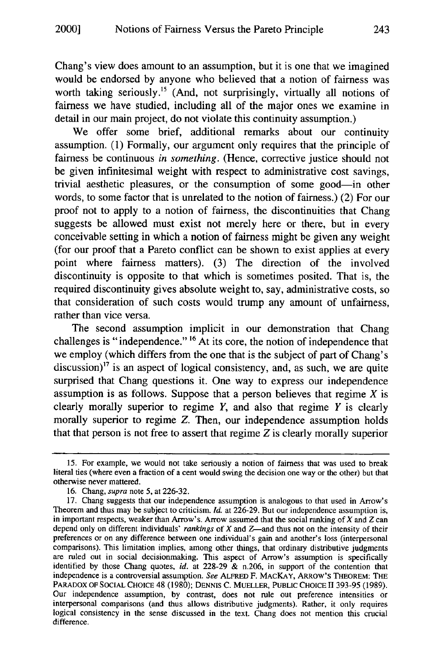Chang's view does amount to an assumption, but it is one that we imagined would be endorsed by anyone who believed that a notion of fairness was worth taking seriously.<sup>15</sup> (And, not surprisingly, virtually all notions of fairness we have studied, including all of the major ones we examine in detail in our main project, do not violate this continuity assumption.)

We offer some brief, additional remarks about our continuity assumption. **(1)** Formally, our argument only requires that the principle of fairness be continuous *in something.* (Hence, corrective justice should not be given infinitesimal weight with respect to administrative cost savings, trivial aesthetic pleasures, or the consumption of some good-in other words, to some factor that is unrelated to the notion of fairness.) (2) For our proof not to apply to a notion of fairness, the discontinuities that Chang suggests be allowed must exist not merely here or there, but in every conceivable setting in which a notion of fairness might be given any weight (for our proof that a Pareto conflict can be shown to exist applies at every point where fairness matters). (3) The direction of the involved discontinuity is opposite to that which is sometimes posited. That is, the required discontinuity gives absolute weight to, say, administrative costs, so that consideration of such costs would trump any amount of unfairness, rather than vice versa.

The second assumption implicit in our demonstration that Chang challenges is "independence." **16** At its core, the notion of independence that we employ (which differs from the one that is the subject of part of Chang's discussion)<sup> $17$ </sup> is an aspect of logical consistency, and, as such, we are quite surprised that Chang questions it. One way to express our independence assumption is as follows. Suppose that a person believes that regime  $X$  is clearly morally superior to regime  $Y$ , and also that regime  $Y$  is clearly morally superior to regime Z. Then, our independence assumption holds that that person is not free to assert that regime Z is clearly morally superior

**<sup>15.</sup>** For example, we would not take seriously a notion of fairness that was used to break literal ties (where even a fraction of a cent would swing the decision one way or the other) but that otherwise never mattered.

<sup>16.</sup> Chang, supra note 5, at 226-32.

<sup>17.</sup> Chang suggests that our independence assumption is analogous to that used in Arrow's Theorem and thus may be subject to criticism. *Id.* at 226-29. But our independence assumption is, in important respects, weaker than Arrow's. Arrow assumed that the social ranking of X and *Z* can depend only on different individuals' *rankings* of X and Z—and thus not on the intensity of their preferences or on any difference between one individual's gain and another's loss (interpersonal comparisons). This limitation implies, among other things, that ordinary distributive judgments are ruled out in social decisionmaking. This aspect of Arrow's assumption is specifically identified by those Chang quotes, *id.* at 228-29 & n.206, in support of the contention that independence is a controversial assumption. *See* ALFRED F. MACKAY, ARROW'S THEOREM: **THE** PARADOX OF **SOCIAL** CHOICE 48 (1980); DENNIS C. MUELLER, **PUBLIC** CHOICE II 393-95 (1989). Our independence assumption, by contrast, does not rule out preference intensities or interpersonal comparisons (and thus allows distributive judgments). Rather, it only requires logical consistency in the sense discussed in the text. Chang does not mention this crucial difference.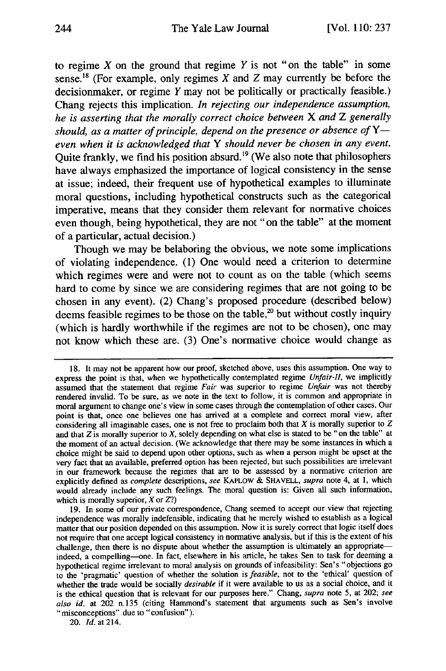to regime X on the ground that regime Y is not **"on** the table" in some sense.<sup>18</sup> (For example, only regimes X and Z may currently be before the decisionmaker, or regime Y may not be politically or practically feasible.) Chang rejects this implication. *In rejecting our independence assumption, he is asserting that the morally correct choice between X and Z generally* should, as a matter of principle, depend on the presence or absence of Y*even when it is acknowledged that Y should never be chosen in any event.* Quite frankly, we find his position absurd.<sup>19</sup> (We also note that philosophers have always emphasized the importance of logical consistency in the sense at issue; indeed, their frequent use of hypothetical examples to illuminate moral questions, including hypothetical constructs such as the categorical imperative, means that they consider them relevant for normative choices even though, being hypothetical, they are not **"on** the table" at the moment of a particular, actual decision.)

Though we may be belaboring the obvious, we note some implications of violating independence. **(1)** One would need a criterion to determine which regimes were and were not to count as on the table (which seems hard to come **by** since we are considering regimes that are not going to be chosen in any event). (2) Chang's proposed procedure (described below) deems feasible regimes to be those on the table,<sup>20</sup> but without costly inquiry (which is hardly worthwhile if the regimes are not to be chosen), one may not know which these are. **(3)** One's normative choice would change as

<sup>18.</sup> It may not be apparent how our proof, sketched above, uses this assumption. One way to express the point is that, when we hypothetically contemplated regime *Unfair-li,* we implicitly assumed that the statement that regime *Fair* was superior to regime *Unfair* was not thereby rendered invalid. To be sure, as we note in the text to follow, it is common and appropriate in moral argument to change one's view in some cases through the contemplation of other cases. Our point is that, once one believes one has arrived at a complete and correct moral view, after considering all imaginable cases, one is not free to proclaim both that  $X$  is morally superior to  $Z$ and that *Z* is morally superior to *X,* solely depending on what else is stated to be "on the table" at the moment of an actual decision. (We acknowledge that there may be some instances in which a choice might be said to depend upon other options, such as when a person might be upset at the very fact that an available, preferred option has been rejected, but such possibilities are irrelevant in our framework because the regimes that are to be assessed by a normative criterion are explicitly defined as *complete* descriptions, *see* KAPLOW & **SHAVELL,** *supra* note 4, at 1, which would already include any such feelings. The moral question is: Given all such information, which is morally superior, X or *Z?)*

<sup>19.</sup> In some of our private correspondence, Chang seemed to accept our view that rejecting independence was morally indefensible, indicating that he merely wished to establish as a logical matter that our position depended on this assumption. Now it is surely correct that logic itself does not require that one accept logical consistency in normative analysis, but if this is the extent of his challenge, then there is no dispute about whether the assumption is ultimately an appropriateindeed, a compelling-one. In fact, elsewhere in his article, he takes Sen to task for deeming a hypothetical regime irrelevant to moral analysis on grounds of infeasibility: Sen's "objections go to the 'pragmatic' question of whether the solution is *feasible,* not to the 'ethical' question of whether the trade would be socially *desirable* if it were available to us as a social choice, and it is the ethical question that is relevant for our purposes here." Chang, *supra* note 5, at 202; *see also id.* at 202 n.135 (citing Hammond's statement that arguments such as Sen's involve "misconceptions" due to "confusion").

<sup>20.</sup> *Id.* at 214.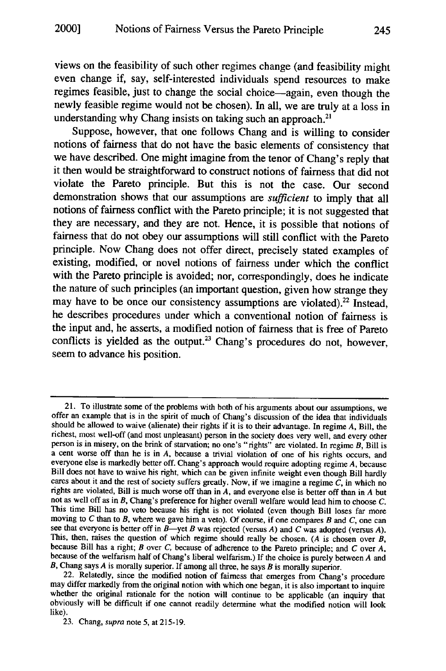views on the feasibility of such other regimes change (and feasibility might even change if, say, self-interested individuals spend resources to make regimes feasible, just to change the social choice-again, even though the newly feasible regime would not be chosen). In all, we are truly at a loss in understanding why Chang insists on taking such an approach.<sup>21</sup>

Suppose, however, that one follows Chang and is willing to consider notions of fairness that do not have the basic elements of consistency that we have described. One might imagine from the tenor of Chang's reply that it then would be straightforward to construct notions of fairness that did not violate the Pareto principle. But this is not the case. Our second demonstration shows that our assumptions are *sufficient* to imply that all notions of fairness conflict with the Pareto principle; it is not suggested that they are necessary, and they are not. Hence, it is possible that notions of fairness that do not obey our assumptions will still conflict with the Pareto principle. Now Chang does not offer direct, precisely stated examples of existing, modified, or novel notions of fairness under which the conflict with the Pareto principle is avoided; nor, correspondingly, does he indicate the nature of such principles (an important question, given how strange they may have to be once our consistency assumptions are violated).<sup>22</sup> Instead, he describes procedures under which a conventional notion of fairness is the input and, he asserts, a modified notion of fairness that is free of Pareto conflicts is yielded as the output.<sup>23</sup> Chang's procedures do not, however, seem to advance his position.

<sup>21.</sup> To illustrate some of the problems with both of his arguments about our assumptions, we offer an example that is in the spirit of much of Chang's discussion of the idea that individuals should he allowed to waive (alienate) their rights if it is to their advantage. In regime *A,* Bill, the richest, most well-off (and most unpleasant) person in the society does very well, and every other person is in misery, on the brink of starvation; no one's "rights" are violated. In regime *B,* Bill is a cent worse off than he is in *A,* because a trivial violation of one of his rights occurs, and everyone else is markedly better off. Chang's approach would require adopting regime *A,* because Bill does not have to waive his right, which can be given infinite weight even though Bill hardly cares about it and the rest of society suffers greatly. Now, if we imagine a regime  $C$ , in which no rights are violated, B not as well off as in *B,* Chang's preference for higher overall welfare would lead him to choose *C.* This time Bill has no veto because his right is not violated (even though Bill loses far more moving to C than to B, where we gave him a veto). Of course, if one compares B and C, one can see that everyone is better off i This, then, raises the question of which regime should really be chosen. *(A* is chosen over *B,* because Bill has a right; *B* over *C,* because of adherence to the Pareto principle; and *C* over *A.* because of the welfarism half of Chang's liberal welfarism.) If the choice is purely between *A* and *B*, Chang says *A* is morally superior. If among all three, he says *B* is morally superior. 22. Relatedly, since the modified notion of fairness that emerges from Chang's procedure

may differ markedly from the original notion with which one began, it is also important to inquire whether the original rationale for the notion will continue to be applicable (an inquiry that obviously will be difficult if one cannot readily determine what the modified notion will look like).

<sup>23.</sup> Chang, *supra* note **5,** at 215-19.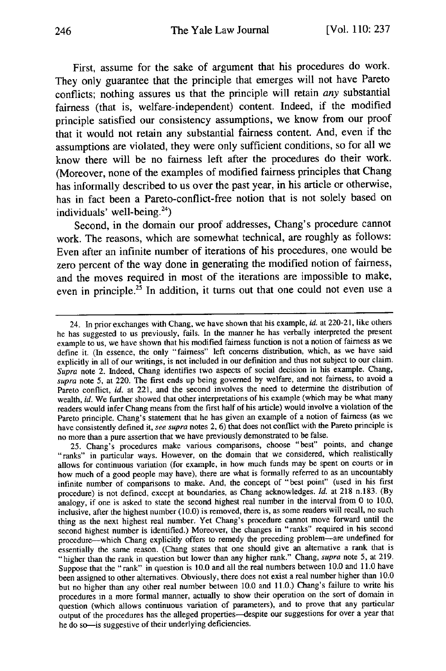First, assume for the sake of argument that his procedures do work. They only guarantee that the principle that emerges will not have Pareto conflicts; nothing assures us that the principle will retain *any* substantial fairness (that is, welfare-independent) content. Indeed, if the modified principle satisfied our consistency assumptions, we know from our proof that it would not retain any substantial fairness content. And, even if the assumptions are violated, they were only sufficient conditions, so for all we know there will be no fairness left after the procedures do their work. (Moreover, none of the examples of modified fairness principles that Chang has informally described to us over the past year, in his article or otherwise, has in fact been a Pareto-conflict-free notion that is not solely based on individuals' well-being.<sup>24</sup>)

Second, in the domain our proof addresses, Chang's procedure cannot work. The reasons, which are somewhat technical, are roughly as follows: Even after an infinite number of iterations of his procedures, one would be zero percent of the way done in generating the modified notion of fairness, and the moves required in most of the iterations are impossible to make, even in principle.<sup>25</sup> In addition, it turns out that one could not even use a

<sup>24.</sup> In prior exchanges with Chang, we have shown that his example, id. at 220-21, like others he has suggested to us previously, fails. In the manner he has verbally interpreted the present example to us, we have shown that his modified fairness function is not a notion of fairness as we define it. (In essence, the only "fairness" left concerns distribution, which, as we have said explicitly in all of our writings, is not included in our definition and thus not subject to our claim. *Supra* note 2. Indeed, Chang identifies two aspects of social decision in his example. Chang, *supra* note 5, at 220. The first ends up being governed by welfare, and not fairness, to avoid a Pareto conflict, *id.* at 221, and the second involves the need to determine the distribution of wealth, *id.* We further showed that other interpretations of his example (which may be what many readers would infer Chang means from the first half of his article) would involve a violation of the Pareto principle. Chang's statement that he has given an example of a notion of fairness (as we have consistently defined it, *see supra* notes 2, 6) that does not conflict with the Pareto principle is no more than a pure assertion that we have previously demonstrated to be false.

<sup>25.</sup> Chang's procedures make various comparisons, choose "best" points, and change "ranks" in particular ways. However, on the domain that we considered, which realistically allows for continuous variation (for example, in how much funds may be spent on courts or in how much of a good people may have), there are what is formally referred to as an uncountably infinite number of comparisons to make. And, the concept of "best point" (used in his first procedure) is not defined, except at boundaries, as Chang acknowledges. *Id.* at 218 n.183. (By analogy, if one is asked to state the second highest real number in the interval from 0 to 10.0, inclusive, after the highest number (10.0) is removed, there is, as some readers will recall, no such thing as the next highest real number. Yet Chang's procedure cannot move forward until the second highest number is identified.) Moreover, the changes in "ranks" required in his second procedure-which Chang explicitly offers to remedy the preceding problem-are undefined for essentially the same reason. (Chang states that one should give an alternative a rank that is "higher than the rank in question but lower than any higher rank." Chang, *supra* note 5, at 219. Suppose that the "rank" in question is 10.0 and all the real numbers between 10.0 and 11.0 have been assigned to other alternatives. Obviously, there does not exist a real number higher than 10.0 but no higher than any other real number between 10.0 and 11.0.) Chang's failure to write his procedures in a more formal manner, actually to show their operation on the sort of domain in question (which allows continuous variation of parameters), and to prove that any particular output of the procedures has the alleged properties-despite our suggestions for over a year that he do so-is suggestive of their underlying deficiencies.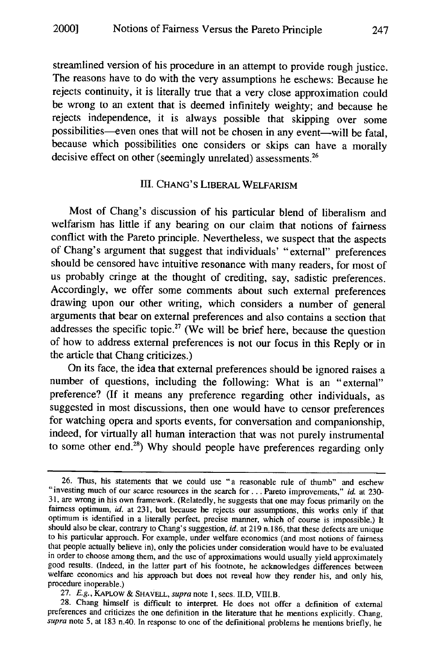streamlined version of his procedure in an attempt to provide rough justice. The reasons have to do with the very assumptions he eschews: Because he rejects continuity, it is literally true that a very close approximation could be wrong to an extent that is deemed infinitely weighty; and because he rejects independence, it is always possible that skipping over some possibilities-even ones that will not be chosen in any event-will be fatal, because which possibilities one considers or skips can have a morally decisive effect on other (seemingly unrelated) assessments.<sup>26</sup>

### III. CHANG'S LIBERAL WELFARISM

Most of Chang's discussion of his particular blend of liberalism and welfarism has little if any bearing on our claim that notions of fairness conflict with the Pareto principle. Nevertheless, we suspect that the aspects of Chang's argument that suggest that individuals' "external" preferences should be censored have intuitive resonance with many readers, for most of us probably cringe at the thought of crediting, say, sadistic preferences. Accordingly, we offer some comments about such external preferences drawing upon our other writing, which considers a number of general arguments that bear on external preferences and also contains a section that addresses the specific topic.<sup>27</sup> (We will be brief here, because the question of how to address external preferences is not our focus in this Reply or in the article that Chang criticizes.)

On its face, the idea that external preferences should be ignored raises a number of questions, including the following: What is an "external" preference? (If it means any preference regarding other individuals, as suggested in most discussions, then one would have to censor preferences for watching opera and sports events, for conversation and companionship, indeed, for virtually all human interaction that was not purely instrumental to some other end.<sup>28</sup>) Why should people have preferences regarding only

<sup>26.</sup> Thus, his statements that we could use "a reasonable rule of thumb" and eschew "investing much of our scarce resources in the search for . . . Pareto improvements," *id.* at 230-31, are wrong in his own framework. (Relatedly, he suggests that one may focus primarily on the fairness optimum, *id.* at 231, but because he rejects our assumptions, this works only if that optimum is identified in a literally perfect, precise manner, which of course is impossible.) It should also be clear, contrary to Chang's suggestion, *id.* at 219 n. 186, that these defects are unique to his particular approach. For example, under welfare economics (and most notions of fairness that people actually believe in), only the policies under consideration would have to be evaluated in order to choose among them, and the use of approximations would usually yield approximately good results. (Indeed, in the latter part of his footnote, he acknowledges differences between welfare economics and his approach but does not reveal how they render his, and only his, procedure inoperable.)

<sup>27.</sup> *E.g.,* KAPLOw & SHAVELL, supra note 1, secs. II.D, VIII.B.

<sup>28.</sup> Chang himself is difficult to interpret. He does not offer a definition of external preferences and criticizes the one definition in the literature that he mentions explicitly. Chang, *supra* note 5, at 183 n.40. In response to one of the definitional problems he mentions briefly, he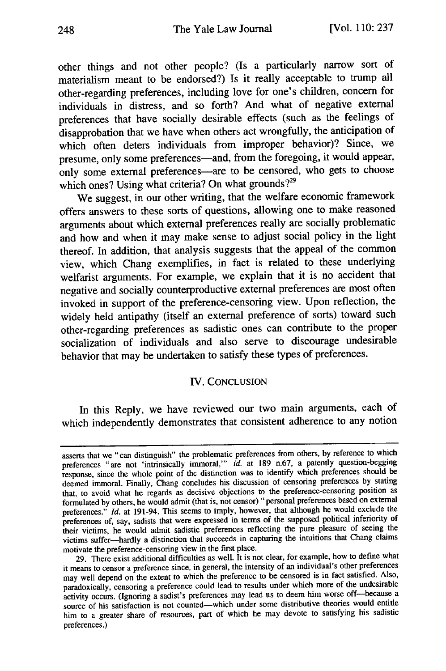other things and not other people? (Is a particularly narrow sort of materialism meant to be endorsed?) Is it really acceptable to trump all other-regarding preferences, including love for one's children, concern for individuals in distress, and so forth? And what of negative external preferences that have socially desirable effects (such as the feelings of disapprobation that we have when others act wrongfully, the anticipation of which often deters individuals from improper behavior)? Since, we presume, only some preferences—and, from the foregoing, it would appear, only some external preferences—are to be censored, who gets to choose which ones? Using what criteria? On what grounds?<sup>29</sup>

We suggest, in our other writing, that the welfare economic framework offers answers to these sorts of questions, allowing one to make reasoned arguments about which external preferences really are socially problematic and how and when it may make sense to adjust social policy in the light thereof. In addition, that analysis suggests that the appeal of the common view, which Chang exemplifies, in fact is related to these underlying welfarist arguments. For example, we explain that it is no accident that negative and socially counterproductive external preferences are most often invoked in support of the preference-censoring view. Upon reflection, the widely held antipathy (itself an external preference of sorts) toward such other-regarding preferences as sadistic ones can contribute to the proper socialization of individuals and also serve to discourage undesirable behavior that may be undertaken to satisfy these types of preferences.

## IV. CONCLUSION

In this Reply, we have reviewed our two main arguments, each of which independently demonstrates that consistent adherence to any notion

asserts that we "can distinguish" the problematic preferences from others, by reference to which preferences "are not 'intrinsically immoral," *id.* at 189 n.67, a patently question-begging response, since the whole point of the distinction was to identify which preferences should be deemed immoral. Finally, Chang concludes his discussion of censoring preferences by stating that, to avoid what he regards as decisive objections to the preference-censoring position as formulated by others, he would admit (that is, not censor) "personal preferences based on external preferences." *Id.* at 191-94. This seems to imply, however, that although he would exclude the preferences of, say, sadists that were expressed in terms of the supposed political inferiority of their victims, he would admit sadistic preferences reflecting the pure pleasure of seeing the victims suffer-hardly a distinction that succeeds in capturing the intuitions that Chang claims motivate the preference-censoring view in the first place.

<sup>29.</sup> There exist additional difficulties as well. It is not clear, for example, how to define what it means to censor a preference since, in general, the intensity of an individual's other preferences may well depend on the extent to which the preference to be censored is in fact satisfied. Also, paradoxically, censoring a preference could lead to results under which more of the undesirable activity occurs. (Ignoring a sadist's preferences may lead us to deem him worse off-because a source of his satisfaction is not counted-which under some distributive theories would entitle him to a greater share of resources, part of which he may devote to satisfying his sadistic preferences.)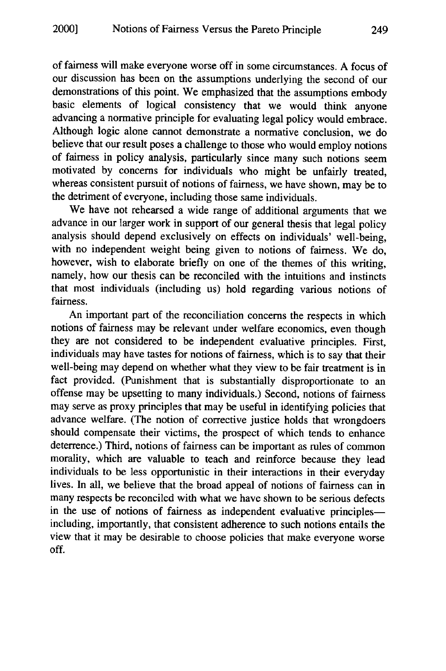of fairness will make everyone worse off in some circumstances. A focus of our discussion has been on the assumptions underlying the second of our demonstrations of this point. We emphasized that the assumptions embody basic elements of logical consistency that we would think anyone advancing a normative principle for evaluating legal policy would embrace. Although logic alone cannot demonstrate a normative conclusion, we do believe that our result poses a challenge to those who would employ notions of fairness in policy analysis, particularly since many such notions seem motivated by concerns for individuals who might be unfairly treated, whereas consistent pursuit of notions of fairness, we have shown, may be to the detriment of everyone, including those same individuals.

We have not rehearsed a wide range of additional arguments that we advance in our larger work in support of our general thesis that legal policy analysis should depend exclusively on effects on individuals' well-being, with no independent weight being given to notions of fairness. We do, however, wish to elaborate briefly on one of the themes of this writing, namely, how our thesis can be reconciled with the intuitions and instincts that most individuals (including us) hold regarding various notions of fairness.

An important part of the reconciliation concerns the respects in which notions of fairness may be relevant under welfare economics, even though they are not considered to be independent evaluative principles. First, individuals may have tastes for notions of fairness, which is to say that their well-being may depend on whether what they view to be fair treatment is in fact provided. (Punishment that is substantially disproportionate to an offense may be upsetting to many individuals.) Second, notions of fairness may serve as proxy principles that may be useful in identifying policies that advance welfare. (The notion of corrective justice holds that wrongdoers should compensate their victims, the prospect of which tends to enhance deterrence.) Third, notions of fairness can be important as rules of common morality, which are valuable to teach and reinforce because they lead individuals to be less opportunistic in their interactions in their everyday lives. In all, we believe that the broad appeal of notions of fairness can in many respects be reconciled with what we have shown to be serious defects in the use of notions of fairness as independent evaluative principlesincluding, importantly, that consistent adherence to such notions entails the view that it may be desirable to choose policies that make everyone worse off.